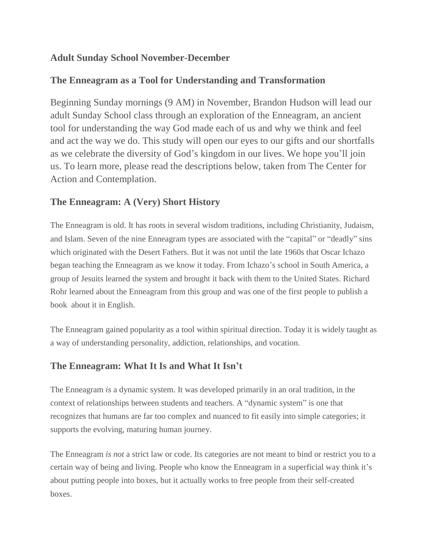## **Adult Sunday School November-December**

## **The Enneagram as a Tool for Understanding and Transformation**

Beginning Sunday mornings (9 AM) in November, Brandon Hudson will lead our adult Sunday School class through an exploration of the Enneagram, an ancient tool for understanding the way God made each of us and why we think and feel and act the way we do. This study will open our eyes to our gifts and our shortfalls as we celebrate the diversity of God's kingdom in our lives. We hope you'll join us. To learn more, please read the descriptions below, taken from The Center for Action and Contemplation.

## **The Enneagram: A (Very) Short History**

The Enneagram is old. It has roots in several wisdom traditions, including Christianity, Judaism, and Islam. Seven of the nine Enneagram types are associated with the "capital" or "deadly" sins which originated with the Desert Fathers. But it was not until the late 1960s that Oscar Ichazo began teaching the Enneagram as we know it today. From Ichazo's school in South America, a group of Jesuits learned the system and brought it back with them to the United States. Richard Rohr learned about the Enneagram from this group and was one of the first people to publish a book about it in English.

The Enneagram gained popularity as a tool within spiritual direction. Today it is widely taught as a way of understanding personality, addiction, relationships, and vocation.

## **The Enneagram: What It Is and What It Isn't**

The Enneagram *is* a dynamic system. It was developed primarily in an oral tradition, in the context of relationships between students and teachers. A "dynamic system" is one that recognizes that humans are far too complex and nuanced to fit easily into simple categories; it supports the evolving, maturing human journey.

The Enneagram *is not* a strict law or code. Its categories are not meant to bind or restrict you to a certain way of being and living. People who know the Enneagram in a superficial way think it's about putting people into boxes, but it actually works to free people from their self-created boxes.